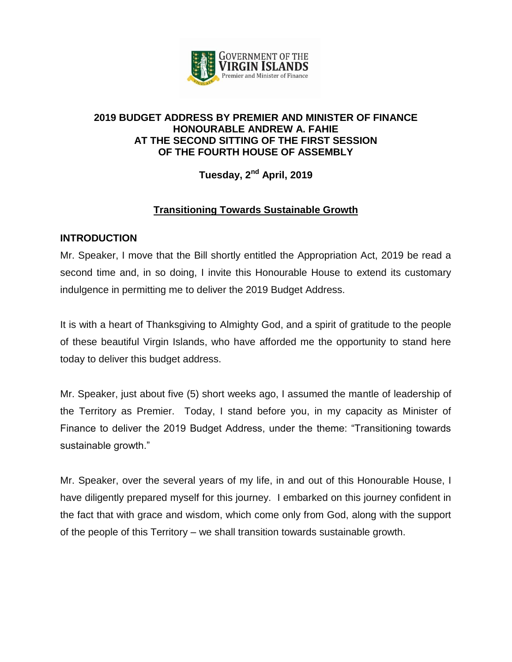

## **2019 BUDGET ADDRESS BY PREMIER AND MINISTER OF FINANCE HONOURABLE ANDREW A. FAHIE AT THE SECOND SITTING OF THE FIRST SESSION OF THE FOURTH HOUSE OF ASSEMBLY**

**Tuesday, 2nd April, 2019**

# **Transitioning Towards Sustainable Growth**

## **INTRODUCTION**

Mr. Speaker, I move that the Bill shortly entitled the Appropriation Act, 2019 be read a second time and, in so doing, I invite this Honourable House to extend its customary indulgence in permitting me to deliver the 2019 Budget Address.

It is with a heart of Thanksgiving to Almighty God, and a spirit of gratitude to the people of these beautiful Virgin Islands, who have afforded me the opportunity to stand here today to deliver this budget address.

Mr. Speaker, just about five (5) short weeks ago, I assumed the mantle of leadership of the Territory as Premier. Today, I stand before you, in my capacity as Minister of Finance to deliver the 2019 Budget Address, under the theme: "Transitioning towards sustainable growth."

Mr. Speaker, over the several years of my life, in and out of this Honourable House, I have diligently prepared myself for this journey. I embarked on this journey confident in the fact that with grace and wisdom, which come only from God, along with the support of the people of this Territory – we shall transition towards sustainable growth.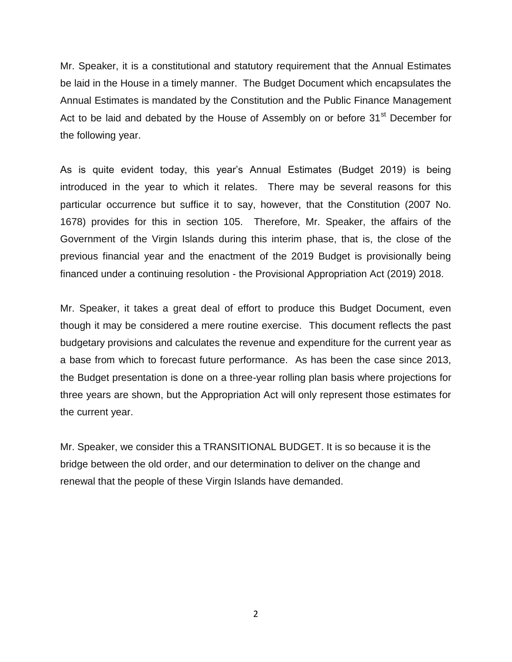Mr. Speaker, it is a constitutional and statutory requirement that the Annual Estimates be laid in the House in a timely manner. The Budget Document which encapsulates the Annual Estimates is mandated by the Constitution and the Public Finance Management Act to be laid and debated by the House of Assembly on or before 31<sup>st</sup> December for the following year.

As is quite evident today, this year's Annual Estimates (Budget 2019) is being introduced in the year to which it relates. There may be several reasons for this particular occurrence but suffice it to say, however, that the Constitution (2007 No. 1678) provides for this in section 105. Therefore, Mr. Speaker, the affairs of the Government of the Virgin Islands during this interim phase, that is, the close of the previous financial year and the enactment of the 2019 Budget is provisionally being financed under a continuing resolution - the Provisional Appropriation Act (2019) 2018.

Mr. Speaker, it takes a great deal of effort to produce this Budget Document, even though it may be considered a mere routine exercise. This document reflects the past budgetary provisions and calculates the revenue and expenditure for the current year as a base from which to forecast future performance. As has been the case since 2013, the Budget presentation is done on a three-year rolling plan basis where projections for three years are shown, but the Appropriation Act will only represent those estimates for the current year.

Mr. Speaker, we consider this a TRANSITIONAL BUDGET. It is so because it is the bridge between the old order, and our determination to deliver on the change and renewal that the people of these Virgin Islands have demanded.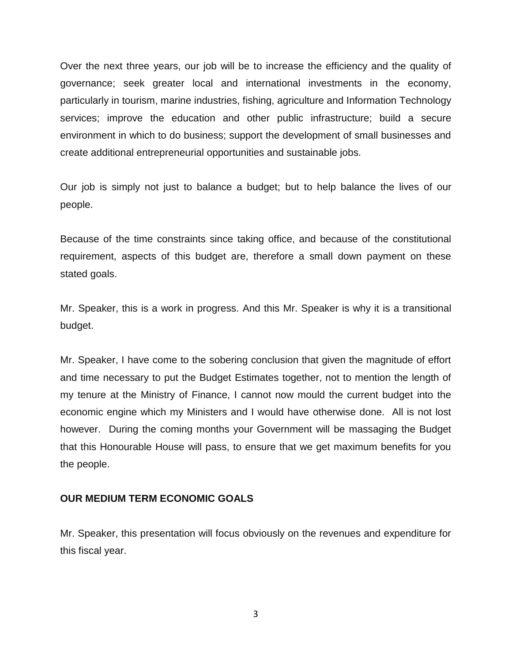Over the next three years, our job will be to increase the efficiency and the quality of governance; seek greater local and international investments in the economy, particularly in tourism, marine industries, fishing, agriculture and Information Technology services; improve the education and other public infrastructure; build a secure environment in which to do business; support the development of small businesses and create additional entrepreneurial opportunities and sustainable jobs.

Our job is simply not just to balance a budget; but to help balance the lives of our people.

Because of the time constraints since taking office, and because of the constitutional requirement, aspects of this budget are, therefore a small down payment on these stated goals.

Mr. Speaker, this is a work in progress. And this Mr. Speaker is why it is a transitional budget.

Mr. Speaker, I have come to the sobering conclusion that given the magnitude of effort and time necessary to put the Budget Estimates together, not to mention the length of my tenure at the Ministry of Finance, I cannot now mould the current budget into the economic engine which my Ministers and I would have otherwise done. All is not lost however. During the coming months your Government will be massaging the Budget that this Honourable House will pass, to ensure that we get maximum benefits for you the people.

### **OUR MEDIUM TERM ECONOMIC GOALS**

Mr. Speaker, this presentation will focus obviously on the revenues and expenditure for this fiscal year.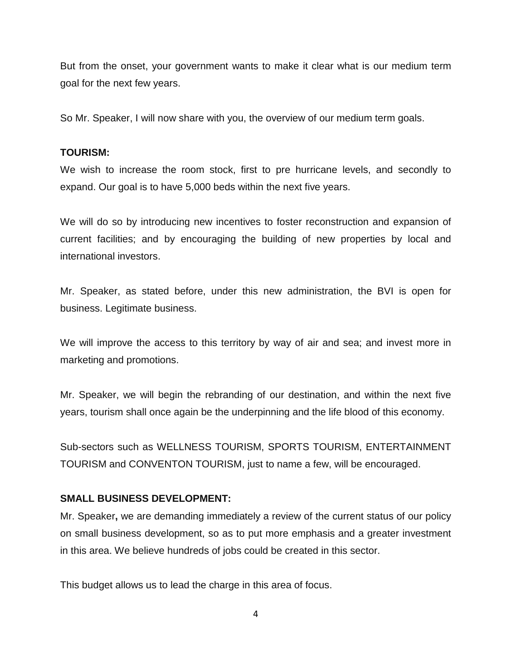But from the onset, your government wants to make it clear what is our medium term goal for the next few years.

So Mr. Speaker, I will now share with you, the overview of our medium term goals.

### **TOURISM:**

We wish to increase the room stock, first to pre hurricane levels, and secondly to expand. Our goal is to have 5,000 beds within the next five years.

We will do so by introducing new incentives to foster reconstruction and expansion of current facilities; and by encouraging the building of new properties by local and international investors.

Mr. Speaker, as stated before, under this new administration, the BVI is open for business. Legitimate business.

We will improve the access to this territory by way of air and sea; and invest more in marketing and promotions.

Mr. Speaker, we will begin the rebranding of our destination, and within the next five years, tourism shall once again be the underpinning and the life blood of this economy.

Sub-sectors such as WELLNESS TOURISM, SPORTS TOURISM, ENTERTAINMENT TOURISM and CONVENTON TOURISM, just to name a few, will be encouraged.

## **SMALL BUSINESS DEVELOPMENT:**

Mr. Speaker**,** we are demanding immediately a review of the current status of our policy on small business development, so as to put more emphasis and a greater investment in this area. We believe hundreds of jobs could be created in this sector.

This budget allows us to lead the charge in this area of focus.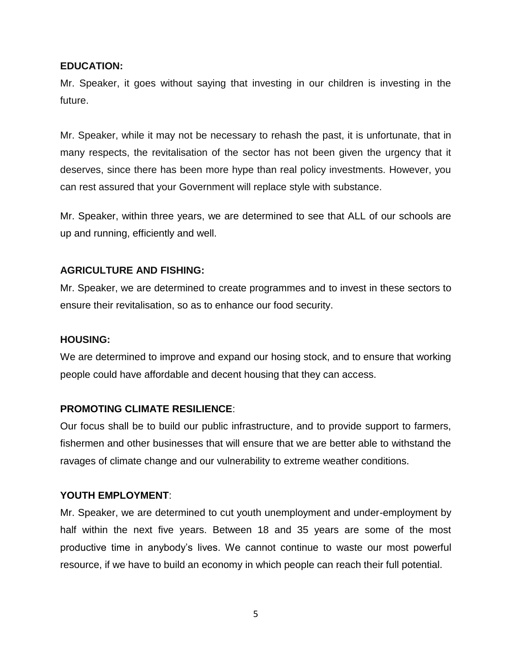### **EDUCATION:**

Mr. Speaker, it goes without saying that investing in our children is investing in the future.

Mr. Speaker, while it may not be necessary to rehash the past, it is unfortunate, that in many respects, the revitalisation of the sector has not been given the urgency that it deserves, since there has been more hype than real policy investments. However, you can rest assured that your Government will replace style with substance.

Mr. Speaker, within three years, we are determined to see that ALL of our schools are up and running, efficiently and well.

### **AGRICULTURE AND FISHING:**

Mr. Speaker, we are determined to create programmes and to invest in these sectors to ensure their revitalisation, so as to enhance our food security.

### **HOUSING:**

We are determined to improve and expand our hosing stock, and to ensure that working people could have affordable and decent housing that they can access.

### **PROMOTING CLIMATE RESILIENCE**:

Our focus shall be to build our public infrastructure, and to provide support to farmers, fishermen and other businesses that will ensure that we are better able to withstand the ravages of climate change and our vulnerability to extreme weather conditions.

### **YOUTH EMPLOYMENT**:

Mr. Speaker, we are determined to cut youth unemployment and under-employment by half within the next five years. Between 18 and 35 years are some of the most productive time in anybody's lives. We cannot continue to waste our most powerful resource, if we have to build an economy in which people can reach their full potential.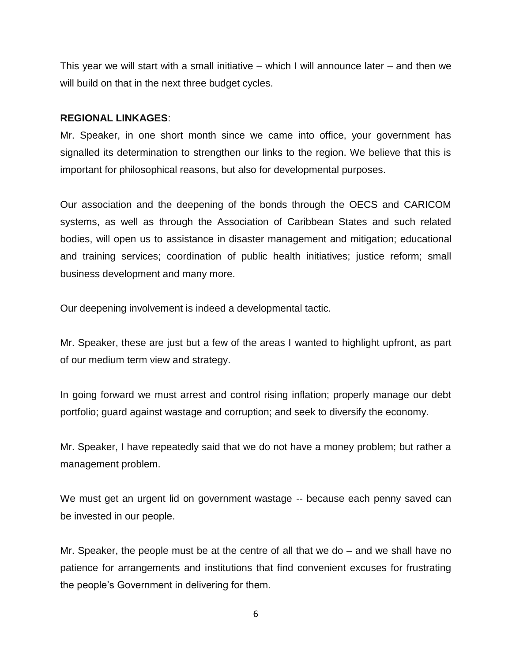This year we will start with a small initiative – which I will announce later – and then we will build on that in the next three budget cycles.

#### **REGIONAL LINKAGES**:

Mr. Speaker, in one short month since we came into office, your government has signalled its determination to strengthen our links to the region. We believe that this is important for philosophical reasons, but also for developmental purposes.

Our association and the deepening of the bonds through the OECS and CARICOM systems, as well as through the Association of Caribbean States and such related bodies, will open us to assistance in disaster management and mitigation; educational and training services; coordination of public health initiatives; justice reform; small business development and many more.

Our deepening involvement is indeed a developmental tactic.

Mr. Speaker, these are just but a few of the areas I wanted to highlight upfront, as part of our medium term view and strategy.

In going forward we must arrest and control rising inflation; properly manage our debt portfolio; guard against wastage and corruption; and seek to diversify the economy.

Mr. Speaker, I have repeatedly said that we do not have a money problem; but rather a management problem.

We must get an urgent lid on government wastage -- because each penny saved can be invested in our people.

Mr. Speaker, the people must be at the centre of all that we do – and we shall have no patience for arrangements and institutions that find convenient excuses for frustrating the people's Government in delivering for them.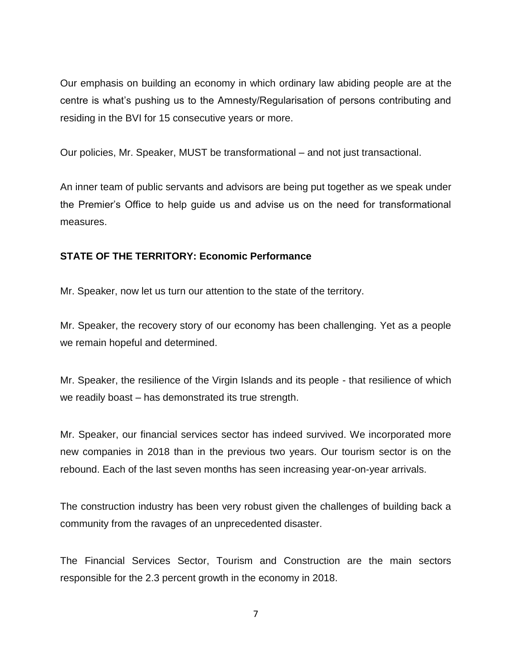Our emphasis on building an economy in which ordinary law abiding people are at the centre is what's pushing us to the Amnesty/Regularisation of persons contributing and residing in the BVI for 15 consecutive years or more.

Our policies, Mr. Speaker, MUST be transformational – and not just transactional.

An inner team of public servants and advisors are being put together as we speak under the Premier's Office to help guide us and advise us on the need for transformational measures.

## **STATE OF THE TERRITORY: Economic Performance**

Mr. Speaker, now let us turn our attention to the state of the territory.

Mr. Speaker, the recovery story of our economy has been challenging. Yet as a people we remain hopeful and determined.

Mr. Speaker, the resilience of the Virgin Islands and its people - that resilience of which we readily boast – has demonstrated its true strength.

Mr. Speaker, our financial services sector has indeed survived. We incorporated more new companies in 2018 than in the previous two years. Our tourism sector is on the rebound. Each of the last seven months has seen increasing year-on-year arrivals.

The construction industry has been very robust given the challenges of building back a community from the ravages of an unprecedented disaster.

The Financial Services Sector, Tourism and Construction are the main sectors responsible for the 2.3 percent growth in the economy in 2018.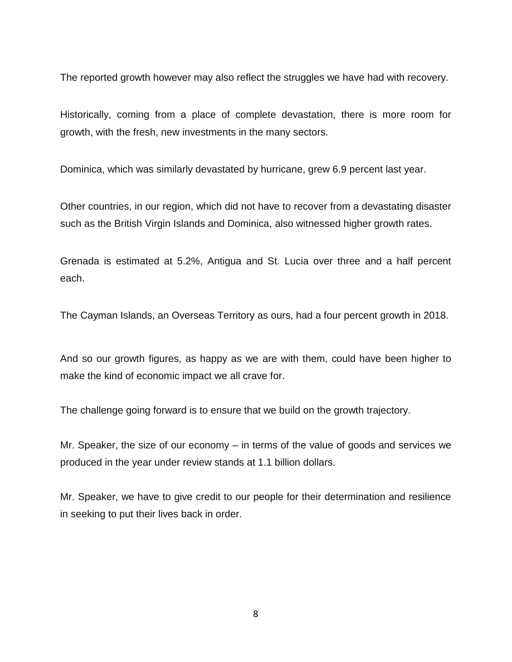The reported growth however may also reflect the struggles we have had with recovery.

Historically, coming from a place of complete devastation, there is more room for growth, with the fresh, new investments in the many sectors.

Dominica, which was similarly devastated by hurricane, grew 6.9 percent last year.

Other countries, in our region, which did not have to recover from a devastating disaster such as the British Virgin Islands and Dominica, also witnessed higher growth rates.

Grenada is estimated at 5.2%, Antigua and St. Lucia over three and a half percent each.

The Cayman Islands, an Overseas Territory as ours, had a four percent growth in 2018.

And so our growth figures, as happy as we are with them, could have been higher to make the kind of economic impact we all crave for.

The challenge going forward is to ensure that we build on the growth trajectory.

Mr. Speaker, the size of our economy – in terms of the value of goods and services we produced in the year under review stands at 1.1 billion dollars.

Mr. Speaker, we have to give credit to our people for their determination and resilience in seeking to put their lives back in order.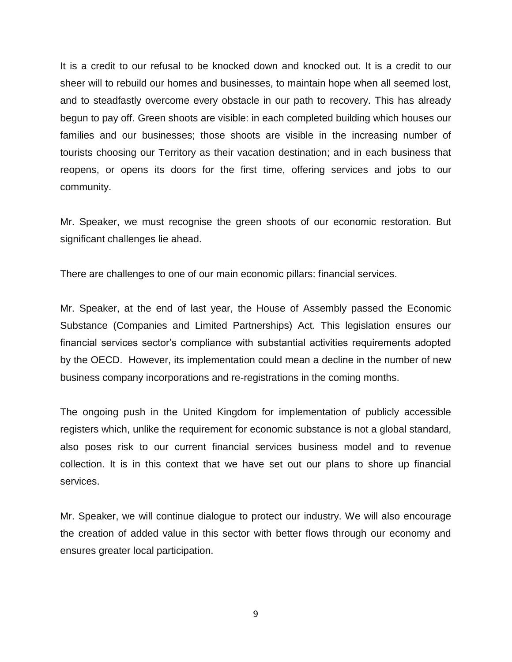It is a credit to our refusal to be knocked down and knocked out. It is a credit to our sheer will to rebuild our homes and businesses, to maintain hope when all seemed lost, and to steadfastly overcome every obstacle in our path to recovery. This has already begun to pay off. Green shoots are visible: in each completed building which houses our families and our businesses; those shoots are visible in the increasing number of tourists choosing our Territory as their vacation destination; and in each business that reopens, or opens its doors for the first time, offering services and jobs to our community.

Mr. Speaker, we must recognise the green shoots of our economic restoration. But significant challenges lie ahead.

There are challenges to one of our main economic pillars: financial services.

Mr. Speaker, at the end of last year, the House of Assembly passed the Economic Substance (Companies and Limited Partnerships) Act. This legislation ensures our financial services sector's compliance with substantial activities requirements adopted by the OECD. However, its implementation could mean a decline in the number of new business company incorporations and re-registrations in the coming months.

The ongoing push in the United Kingdom for implementation of publicly accessible registers which, unlike the requirement for economic substance is not a global standard, also poses risk to our current financial services business model and to revenue collection. It is in this context that we have set out our plans to shore up financial services.

Mr. Speaker, we will continue dialogue to protect our industry. We will also encourage the creation of added value in this sector with better flows through our economy and ensures greater local participation.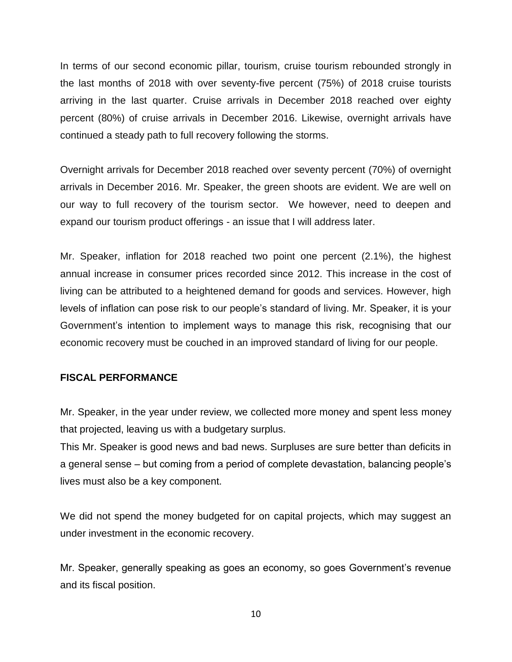In terms of our second economic pillar, tourism, cruise tourism rebounded strongly in the last months of 2018 with over seventy-five percent (75%) of 2018 cruise tourists arriving in the last quarter. Cruise arrivals in December 2018 reached over eighty percent (80%) of cruise arrivals in December 2016. Likewise, overnight arrivals have continued a steady path to full recovery following the storms.

Overnight arrivals for December 2018 reached over seventy percent (70%) of overnight arrivals in December 2016. Mr. Speaker, the green shoots are evident. We are well on our way to full recovery of the tourism sector. We however, need to deepen and expand our tourism product offerings - an issue that I will address later.

Mr. Speaker, inflation for 2018 reached two point one percent (2.1%), the highest annual increase in consumer prices recorded since 2012. This increase in the cost of living can be attributed to a heightened demand for goods and services. However, high levels of inflation can pose risk to our people's standard of living. Mr. Speaker, it is your Government's intention to implement ways to manage this risk, recognising that our economic recovery must be couched in an improved standard of living for our people.

### **FISCAL PERFORMANCE**

Mr. Speaker, in the year under review, we collected more money and spent less money that projected, leaving us with a budgetary surplus.

This Mr. Speaker is good news and bad news. Surpluses are sure better than deficits in a general sense – but coming from a period of complete devastation, balancing people's lives must also be a key component.

We did not spend the money budgeted for on capital projects, which may suggest an under investment in the economic recovery.

Mr. Speaker, generally speaking as goes an economy, so goes Government's revenue and its fiscal position.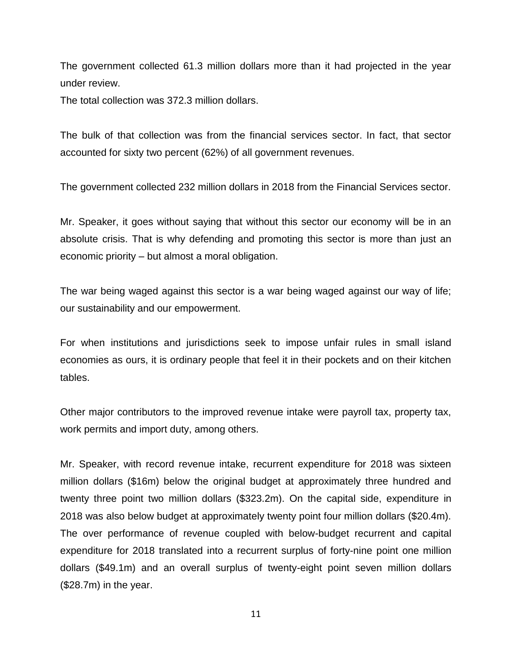The government collected 61.3 million dollars more than it had projected in the year under review.

The total collection was 372.3 million dollars.

The bulk of that collection was from the financial services sector. In fact, that sector accounted for sixty two percent (62%) of all government revenues.

The government collected 232 million dollars in 2018 from the Financial Services sector.

Mr. Speaker, it goes without saying that without this sector our economy will be in an absolute crisis. That is why defending and promoting this sector is more than just an economic priority – but almost a moral obligation.

The war being waged against this sector is a war being waged against our way of life; our sustainability and our empowerment.

For when institutions and jurisdictions seek to impose unfair rules in small island economies as ours, it is ordinary people that feel it in their pockets and on their kitchen tables.

Other major contributors to the improved revenue intake were payroll tax, property tax, work permits and import duty, among others.

Mr. Speaker, with record revenue intake, recurrent expenditure for 2018 was sixteen million dollars (\$16m) below the original budget at approximately three hundred and twenty three point two million dollars (\$323.2m). On the capital side, expenditure in 2018 was also below budget at approximately twenty point four million dollars (\$20.4m). The over performance of revenue coupled with below-budget recurrent and capital expenditure for 2018 translated into a recurrent surplus of forty-nine point one million dollars (\$49.1m) and an overall surplus of twenty-eight point seven million dollars (\$28.7m) in the year.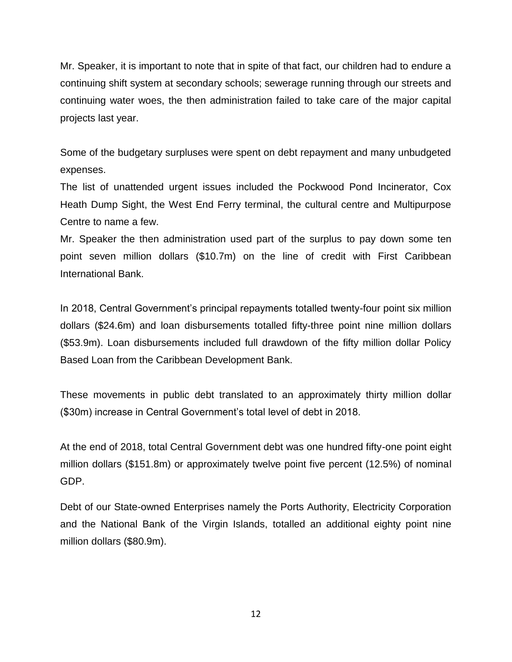Mr. Speaker, it is important to note that in spite of that fact, our children had to endure a continuing shift system at secondary schools; sewerage running through our streets and continuing water woes, the then administration failed to take care of the major capital projects last year.

Some of the budgetary surpluses were spent on debt repayment and many unbudgeted expenses.

The list of unattended urgent issues included the Pockwood Pond Incinerator, Cox Heath Dump Sight, the West End Ferry terminal, the cultural centre and Multipurpose Centre to name a few.

Mr. Speaker the then administration used part of the surplus to pay down some ten point seven million dollars (\$10.7m) on the line of credit with First Caribbean International Bank.

In 2018, Central Government's principal repayments totalled twenty-four point six million dollars (\$24.6m) and loan disbursements totalled fifty-three point nine million dollars (\$53.9m). Loan disbursements included full drawdown of the fifty million dollar Policy Based Loan from the Caribbean Development Bank.

These movements in public debt translated to an approximately thirty million dollar (\$30m) increase in Central Government's total level of debt in 2018.

At the end of 2018, total Central Government debt was one hundred fifty-one point eight million dollars (\$151.8m) or approximately twelve point five percent (12.5%) of nominal GDP.

Debt of our State-owned Enterprises namely the Ports Authority, Electricity Corporation and the National Bank of the Virgin Islands, totalled an additional eighty point nine million dollars (\$80.9m).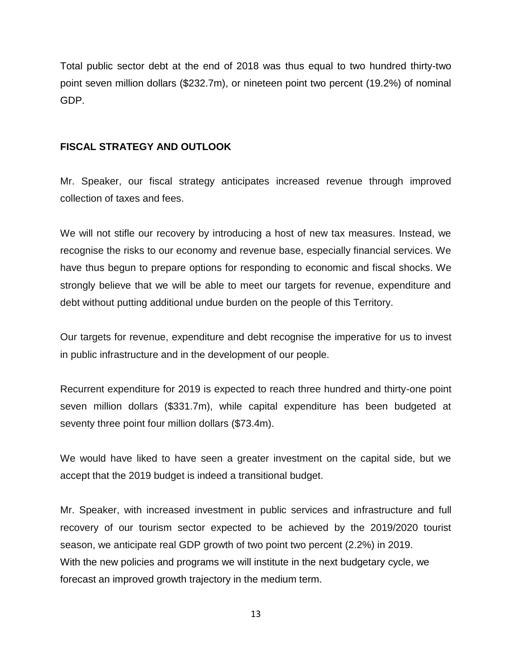Total public sector debt at the end of 2018 was thus equal to two hundred thirty-two point seven million dollars (\$232.7m), or nineteen point two percent (19.2%) of nominal GDP.

## **FISCAL STRATEGY AND OUTLOOK**

Mr. Speaker, our fiscal strategy anticipates increased revenue through improved collection of taxes and fees.

We will not stifle our recovery by introducing a host of new tax measures. Instead, we recognise the risks to our economy and revenue base, especially financial services. We have thus begun to prepare options for responding to economic and fiscal shocks. We strongly believe that we will be able to meet our targets for revenue, expenditure and debt without putting additional undue burden on the people of this Territory.

Our targets for revenue, expenditure and debt recognise the imperative for us to invest in public infrastructure and in the development of our people.

Recurrent expenditure for 2019 is expected to reach three hundred and thirty-one point seven million dollars (\$331.7m), while capital expenditure has been budgeted at seventy three point four million dollars (\$73.4m).

We would have liked to have seen a greater investment on the capital side, but we accept that the 2019 budget is indeed a transitional budget.

Mr. Speaker, with increased investment in public services and infrastructure and full recovery of our tourism sector expected to be achieved by the 2019/2020 tourist season, we anticipate real GDP growth of two point two percent (2.2%) in 2019. With the new policies and programs we will institute in the next budgetary cycle, we forecast an improved growth trajectory in the medium term.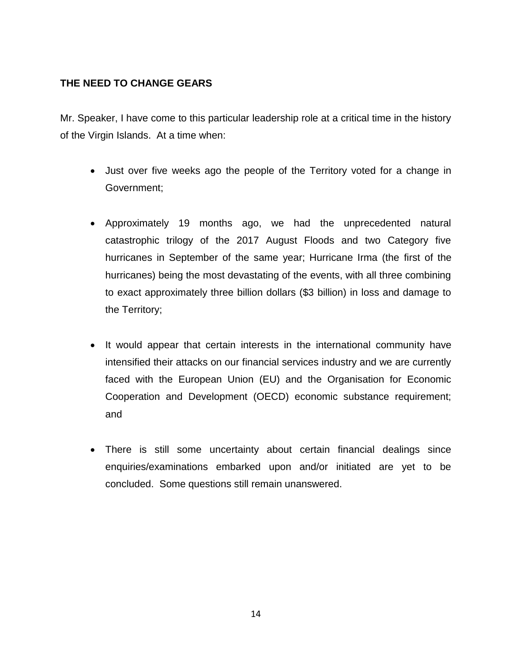## **THE NEED TO CHANGE GEARS**

Mr. Speaker, I have come to this particular leadership role at a critical time in the history of the Virgin Islands. At a time when:

- Just over five weeks ago the people of the Territory voted for a change in Government;
- Approximately 19 months ago, we had the unprecedented natural catastrophic trilogy of the 2017 August Floods and two Category five hurricanes in September of the same year; Hurricane Irma (the first of the hurricanes) being the most devastating of the events, with all three combining to exact approximately three billion dollars (\$3 billion) in loss and damage to the Territory;
- It would appear that certain interests in the international community have intensified their attacks on our financial services industry and we are currently faced with the European Union (EU) and the Organisation for Economic Cooperation and Development (OECD) economic substance requirement; and
- There is still some uncertainty about certain financial dealings since enquiries/examinations embarked upon and/or initiated are yet to be concluded. Some questions still remain unanswered.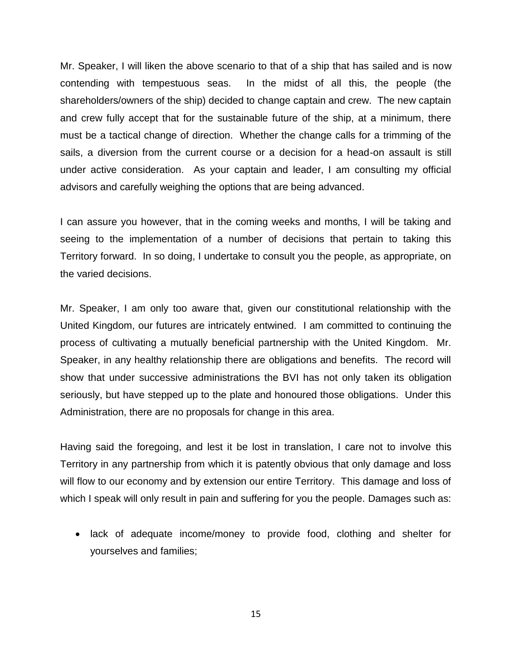Mr. Speaker, I will liken the above scenario to that of a ship that has sailed and is now contending with tempestuous seas. In the midst of all this, the people (the shareholders/owners of the ship) decided to change captain and crew. The new captain and crew fully accept that for the sustainable future of the ship, at a minimum, there must be a tactical change of direction. Whether the change calls for a trimming of the sails, a diversion from the current course or a decision for a head-on assault is still under active consideration. As your captain and leader, I am consulting my official advisors and carefully weighing the options that are being advanced.

I can assure you however, that in the coming weeks and months, I will be taking and seeing to the implementation of a number of decisions that pertain to taking this Territory forward. In so doing, I undertake to consult you the people, as appropriate, on the varied decisions.

Mr. Speaker, I am only too aware that, given our constitutional relationship with the United Kingdom, our futures are intricately entwined. I am committed to continuing the process of cultivating a mutually beneficial partnership with the United Kingdom. Mr. Speaker, in any healthy relationship there are obligations and benefits. The record will show that under successive administrations the BVI has not only taken its obligation seriously, but have stepped up to the plate and honoured those obligations. Under this Administration, there are no proposals for change in this area.

Having said the foregoing, and lest it be lost in translation, I care not to involve this Territory in any partnership from which it is patently obvious that only damage and loss will flow to our economy and by extension our entire Territory. This damage and loss of which I speak will only result in pain and suffering for you the people. Damages such as:

• lack of adequate income/money to provide food, clothing and shelter for yourselves and families;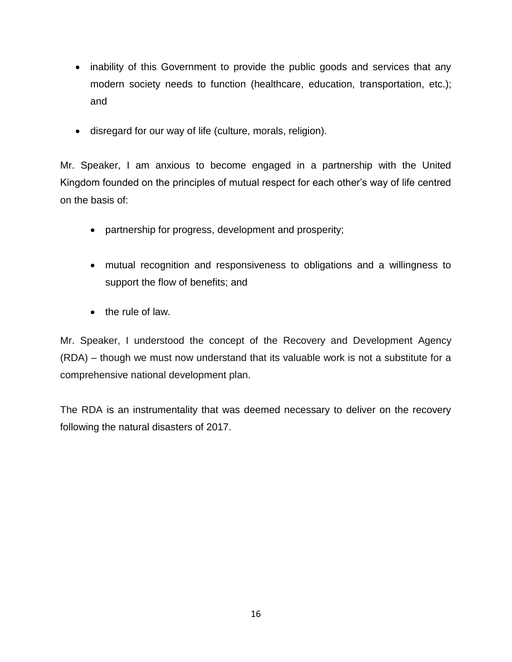- inability of this Government to provide the public goods and services that any modern society needs to function (healthcare, education, transportation, etc.); and
- disregard for our way of life (culture, morals, religion).

Mr. Speaker, I am anxious to become engaged in a partnership with the United Kingdom founded on the principles of mutual respect for each other's way of life centred on the basis of:

- partnership for progress, development and prosperity;
- mutual recognition and responsiveness to obligations and a willingness to support the flow of benefits; and
- $\bullet$  the rule of law.

Mr. Speaker, I understood the concept of the Recovery and Development Agency (RDA) – though we must now understand that its valuable work is not a substitute for a comprehensive national development plan.

The RDA is an instrumentality that was deemed necessary to deliver on the recovery following the natural disasters of 2017.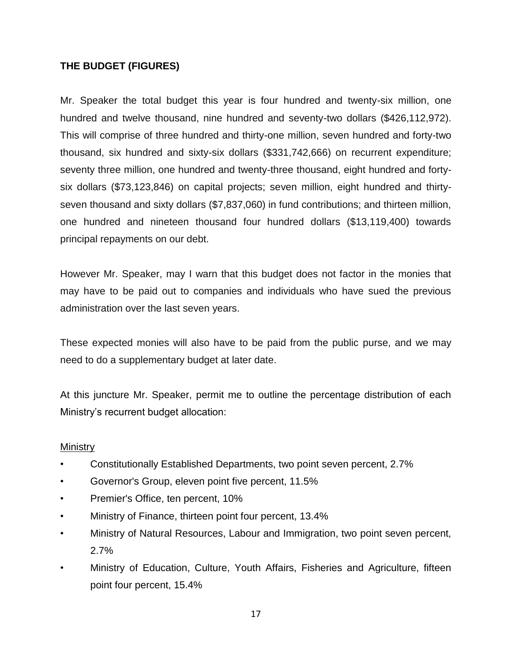## **THE BUDGET (FIGURES)**

Mr. Speaker the total budget this year is four hundred and twenty-six million, one hundred and twelve thousand, nine hundred and seventy-two dollars (\$426,112,972). This will comprise of three hundred and thirty-one million, seven hundred and forty-two thousand, six hundred and sixty-six dollars (\$331,742,666) on recurrent expenditure; seventy three million, one hundred and twenty-three thousand, eight hundred and fortysix dollars (\$73,123,846) on capital projects; seven million, eight hundred and thirtyseven thousand and sixty dollars (\$7,837,060) in fund contributions; and thirteen million, one hundred and nineteen thousand four hundred dollars (\$13,119,400) towards principal repayments on our debt.

However Mr. Speaker, may I warn that this budget does not factor in the monies that may have to be paid out to companies and individuals who have sued the previous administration over the last seven years.

These expected monies will also have to be paid from the public purse, and we may need to do a supplementary budget at later date.

At this juncture Mr. Speaker, permit me to outline the percentage distribution of each Ministry's recurrent budget allocation:

## **Ministry**

- Constitutionally Established Departments, two point seven percent, 2.7%
- Governor's Group, eleven point five percent, 11.5%
- Premier's Office, ten percent, 10%
- Ministry of Finance, thirteen point four percent, 13.4%
- Ministry of Natural Resources, Labour and Immigration, two point seven percent, 2.7%
- Ministry of Education, Culture, Youth Affairs, Fisheries and Agriculture, fifteen point four percent, 15.4%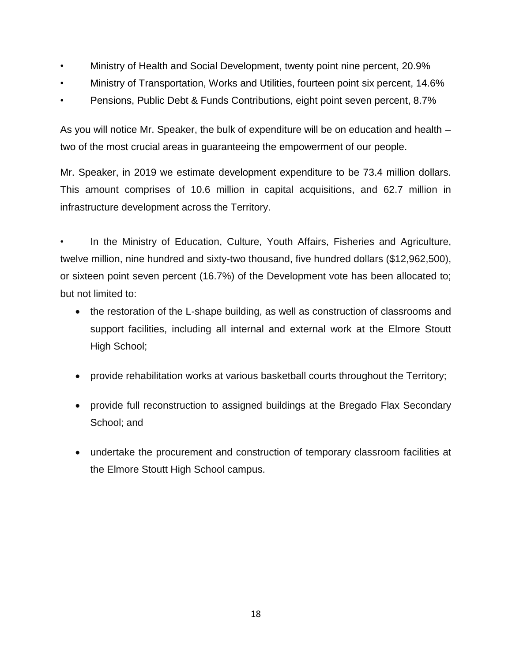- Ministry of Health and Social Development, twenty point nine percent, 20.9%
- Ministry of Transportation, Works and Utilities, fourteen point six percent, 14.6%
- Pensions, Public Debt & Funds Contributions, eight point seven percent, 8.7%

As you will notice Mr. Speaker, the bulk of expenditure will be on education and health – two of the most crucial areas in guaranteeing the empowerment of our people.

Mr. Speaker, in 2019 we estimate development expenditure to be 73.4 million dollars. This amount comprises of 10.6 million in capital acquisitions, and 62.7 million in infrastructure development across the Territory.

In the Ministry of Education, Culture, Youth Affairs, Fisheries and Agriculture, twelve million, nine hundred and sixty-two thousand, five hundred dollars (\$12,962,500), or sixteen point seven percent (16.7%) of the Development vote has been allocated to; but not limited to:

- the restoration of the L-shape building, as well as construction of classrooms and support facilities, including all internal and external work at the Elmore Stoutt High School;
- provide rehabilitation works at various basketball courts throughout the Territory;
- provide full reconstruction to assigned buildings at the Bregado Flax Secondary School; and
- undertake the procurement and construction of temporary classroom facilities at the Elmore Stoutt High School campus.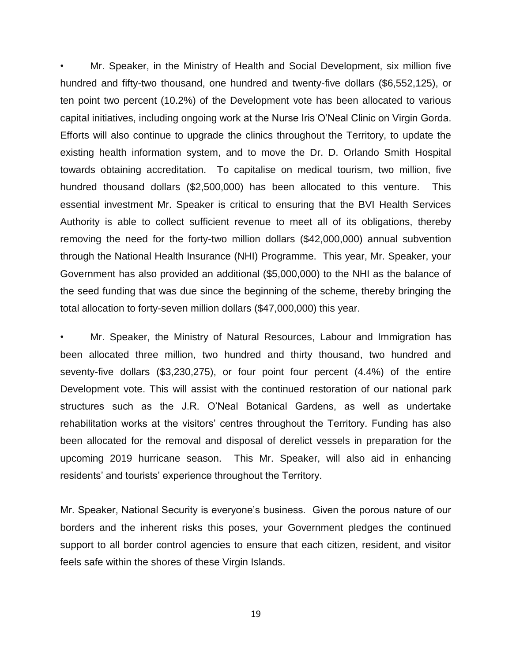• Mr. Speaker, in the Ministry of Health and Social Development, six million five hundred and fifty-two thousand, one hundred and twenty-five dollars (\$6,552,125), or ten point two percent (10.2%) of the Development vote has been allocated to various capital initiatives, including ongoing work at the Nurse Iris O'Neal Clinic on Virgin Gorda. Efforts will also continue to upgrade the clinics throughout the Territory, to update the existing health information system, and to move the Dr. D. Orlando Smith Hospital towards obtaining accreditation. To capitalise on medical tourism, two million, five hundred thousand dollars (\$2,500,000) has been allocated to this venture. This essential investment Mr. Speaker is critical to ensuring that the BVI Health Services Authority is able to collect sufficient revenue to meet all of its obligations, thereby removing the need for the forty-two million dollars (\$42,000,000) annual subvention through the National Health Insurance (NHI) Programme. This year, Mr. Speaker, your Government has also provided an additional (\$5,000,000) to the NHI as the balance of the seed funding that was due since the beginning of the scheme, thereby bringing the total allocation to forty-seven million dollars (\$47,000,000) this year.

• Mr. Speaker, the Ministry of Natural Resources, Labour and Immigration has been allocated three million, two hundred and thirty thousand, two hundred and seventy-five dollars (\$3,230,275), or four point four percent (4.4%) of the entire Development vote. This will assist with the continued restoration of our national park structures such as the J.R. O'Neal Botanical Gardens, as well as undertake rehabilitation works at the visitors' centres throughout the Territory. Funding has also been allocated for the removal and disposal of derelict vessels in preparation for the upcoming 2019 hurricane season. This Mr. Speaker, will also aid in enhancing residents' and tourists' experience throughout the Territory.

Mr. Speaker, National Security is everyone's business. Given the porous nature of our borders and the inherent risks this poses, your Government pledges the continued support to all border control agencies to ensure that each citizen, resident, and visitor feels safe within the shores of these Virgin Islands.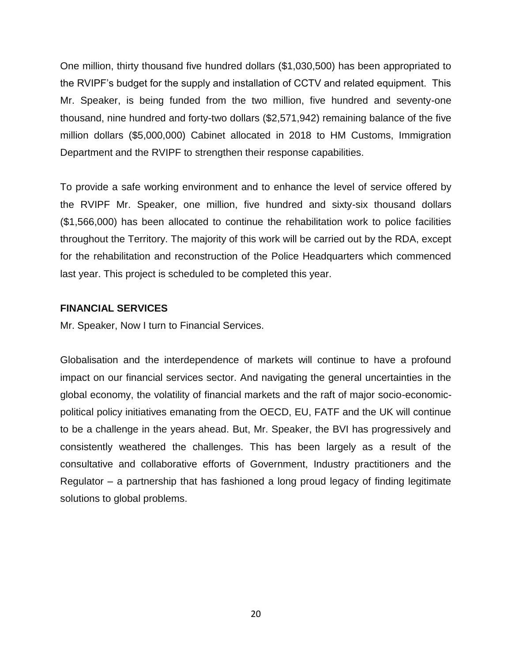One million, thirty thousand five hundred dollars (\$1,030,500) has been appropriated to the RVIPF's budget for the supply and installation of CCTV and related equipment. This Mr. Speaker, is being funded from the two million, five hundred and seventy-one thousand, nine hundred and forty-two dollars (\$2,571,942) remaining balance of the five million dollars (\$5,000,000) Cabinet allocated in 2018 to HM Customs, Immigration Department and the RVIPF to strengthen their response capabilities.

To provide a safe working environment and to enhance the level of service offered by the RVIPF Mr. Speaker, one million, five hundred and sixty-six thousand dollars (\$1,566,000) has been allocated to continue the rehabilitation work to police facilities throughout the Territory. The majority of this work will be carried out by the RDA, except for the rehabilitation and reconstruction of the Police Headquarters which commenced last year. This project is scheduled to be completed this year.

### **FINANCIAL SERVICES**

Mr. Speaker, Now I turn to Financial Services.

Globalisation and the interdependence of markets will continue to have a profound impact on our financial services sector. And navigating the general uncertainties in the global economy, the volatility of financial markets and the raft of major socio-economicpolitical policy initiatives emanating from the OECD, EU, FATF and the UK will continue to be a challenge in the years ahead. But, Mr. Speaker, the BVI has progressively and consistently weathered the challenges. This has been largely as a result of the consultative and collaborative efforts of Government, Industry practitioners and the Regulator – a partnership that has fashioned a long proud legacy of finding legitimate solutions to global problems.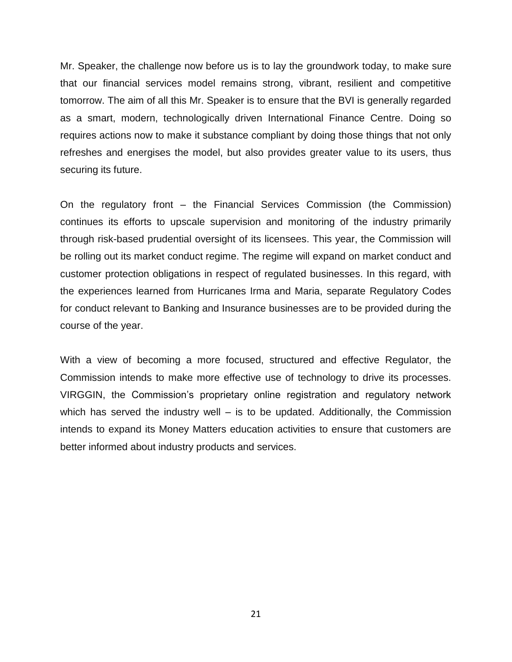Mr. Speaker, the challenge now before us is to lay the groundwork today, to make sure that our financial services model remains strong, vibrant, resilient and competitive tomorrow. The aim of all this Mr. Speaker is to ensure that the BVI is generally regarded as a smart, modern, technologically driven International Finance Centre. Doing so requires actions now to make it substance compliant by doing those things that not only refreshes and energises the model, but also provides greater value to its users, thus securing its future.

On the regulatory front – the Financial Services Commission (the Commission) continues its efforts to upscale supervision and monitoring of the industry primarily through risk-based prudential oversight of its licensees. This year, the Commission will be rolling out its market conduct regime. The regime will expand on market conduct and customer protection obligations in respect of regulated businesses. In this regard, with the experiences learned from Hurricanes Irma and Maria, separate Regulatory Codes for conduct relevant to Banking and Insurance businesses are to be provided during the course of the year.

With a view of becoming a more focused, structured and effective Regulator, the Commission intends to make more effective use of technology to drive its processes. VIRGGIN, the Commission's proprietary online registration and regulatory network which has served the industry well – is to be updated. Additionally, the Commission intends to expand its Money Matters education activities to ensure that customers are better informed about industry products and services.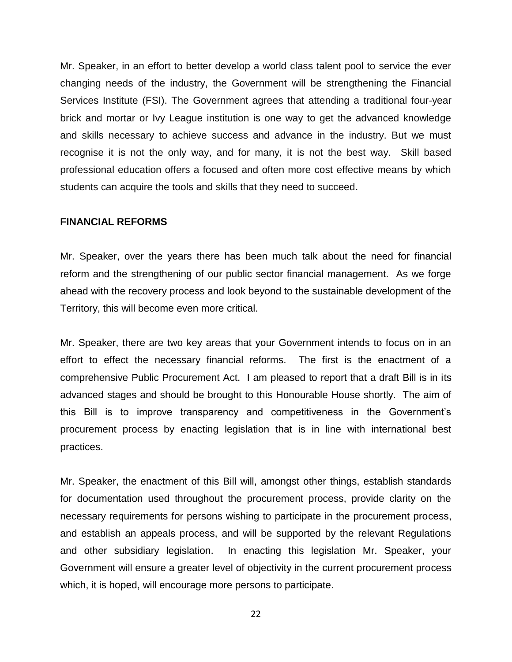Mr. Speaker, in an effort to better develop a world class talent pool to service the ever changing needs of the industry, the Government will be strengthening the Financial Services Institute (FSI). The Government agrees that attending a traditional four-year brick and mortar or Ivy League institution is one way to get the advanced knowledge and skills necessary to achieve success and advance in the industry. But we must recognise it is not the only way, and for many, it is not the best way. Skill based professional education offers a focused and often more cost effective means by which students can acquire the tools and skills that they need to succeed.

#### **FINANCIAL REFORMS**

Mr. Speaker, over the years there has been much talk about the need for financial reform and the strengthening of our public sector financial management. As we forge ahead with the recovery process and look beyond to the sustainable development of the Territory, this will become even more critical.

Mr. Speaker, there are two key areas that your Government intends to focus on in an effort to effect the necessary financial reforms. The first is the enactment of a comprehensive Public Procurement Act. I am pleased to report that a draft Bill is in its advanced stages and should be brought to this Honourable House shortly. The aim of this Bill is to improve transparency and competitiveness in the Government's procurement process by enacting legislation that is in line with international best practices.

Mr. Speaker, the enactment of this Bill will, amongst other things, establish standards for documentation used throughout the procurement process, provide clarity on the necessary requirements for persons wishing to participate in the procurement process, and establish an appeals process, and will be supported by the relevant Regulations and other subsidiary legislation. In enacting this legislation Mr. Speaker, your Government will ensure a greater level of objectivity in the current procurement process which, it is hoped, will encourage more persons to participate.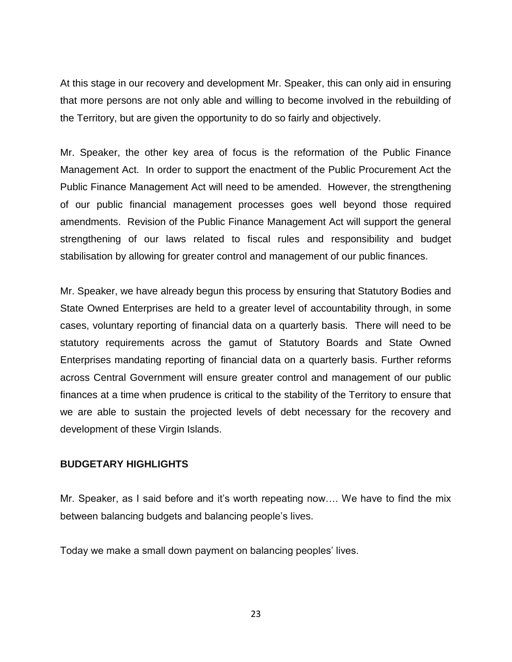At this stage in our recovery and development Mr. Speaker, this can only aid in ensuring that more persons are not only able and willing to become involved in the rebuilding of the Territory, but are given the opportunity to do so fairly and objectively.

Mr. Speaker, the other key area of focus is the reformation of the Public Finance Management Act. In order to support the enactment of the Public Procurement Act the Public Finance Management Act will need to be amended. However, the strengthening of our public financial management processes goes well beyond those required amendments. Revision of the Public Finance Management Act will support the general strengthening of our laws related to fiscal rules and responsibility and budget stabilisation by allowing for greater control and management of our public finances.

Mr. Speaker, we have already begun this process by ensuring that Statutory Bodies and State Owned Enterprises are held to a greater level of accountability through, in some cases, voluntary reporting of financial data on a quarterly basis. There will need to be statutory requirements across the gamut of Statutory Boards and State Owned Enterprises mandating reporting of financial data on a quarterly basis. Further reforms across Central Government will ensure greater control and management of our public finances at a time when prudence is critical to the stability of the Territory to ensure that we are able to sustain the projected levels of debt necessary for the recovery and development of these Virgin Islands.

## **BUDGETARY HIGHLIGHTS**

Mr. Speaker, as I said before and it's worth repeating now…. We have to find the mix between balancing budgets and balancing people's lives.

Today we make a small down payment on balancing peoples' lives.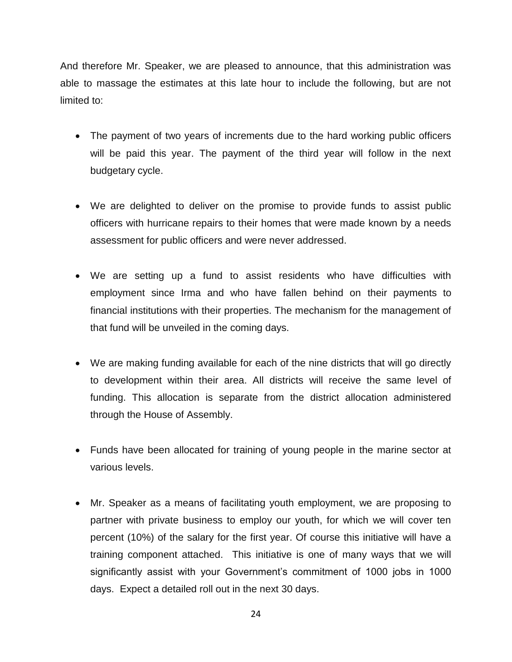And therefore Mr. Speaker, we are pleased to announce, that this administration was able to massage the estimates at this late hour to include the following, but are not limited to:

- The payment of two years of increments due to the hard working public officers will be paid this year. The payment of the third year will follow in the next budgetary cycle.
- We are delighted to deliver on the promise to provide funds to assist public officers with hurricane repairs to their homes that were made known by a needs assessment for public officers and were never addressed.
- We are setting up a fund to assist residents who have difficulties with employment since Irma and who have fallen behind on their payments to financial institutions with their properties. The mechanism for the management of that fund will be unveiled in the coming days.
- We are making funding available for each of the nine districts that will go directly to development within their area. All districts will receive the same level of funding. This allocation is separate from the district allocation administered through the House of Assembly.
- Funds have been allocated for training of young people in the marine sector at various levels.
- Mr. Speaker as a means of facilitating youth employment, we are proposing to partner with private business to employ our youth, for which we will cover ten percent (10%) of the salary for the first year. Of course this initiative will have a training component attached. This initiative is one of many ways that we will significantly assist with your Government's commitment of 1000 jobs in 1000 days.Expect a detailed roll out in the next 30 days.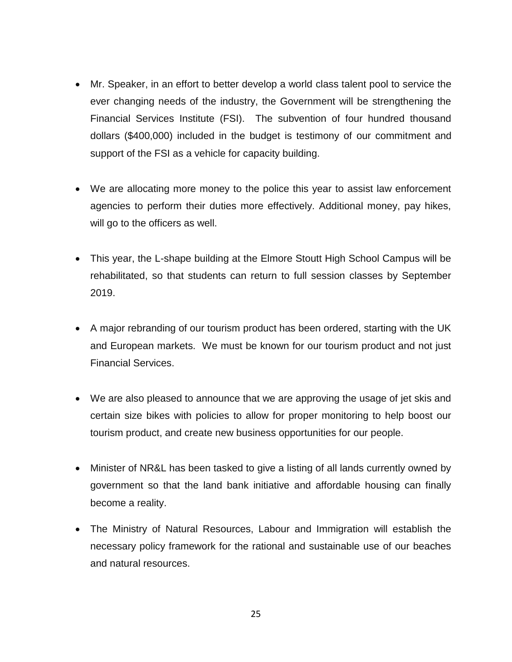- Mr. Speaker, in an effort to better develop a world class talent pool to service the ever changing needs of the industry, the Government will be strengthening the Financial Services Institute (FSI). The subvention of four hundred thousand dollars (\$400,000) included in the budget is testimony of our commitment and support of the FSI as a vehicle for capacity building.
- We are allocating more money to the police this year to assist law enforcement agencies to perform their duties more effectively. Additional money, pay hikes, will go to the officers as well.
- This year, the L-shape building at the Elmore Stoutt High School Campus will be rehabilitated, so that students can return to full session classes by September 2019.
- A major rebranding of our tourism product has been ordered, starting with the UK and European markets. We must be known for our tourism product and not just Financial Services.
- We are also pleased to announce that we are approving the usage of jet skis and certain size bikes with policies to allow for proper monitoring to help boost our tourism product, and create new business opportunities for our people.
- Minister of NR&L has been tasked to give a listing of all lands currently owned by government so that the land bank initiative and affordable housing can finally become a reality.
- The Ministry of Natural Resources, Labour and Immigration will establish the necessary policy framework for the rational and sustainable use of our beaches and natural resources.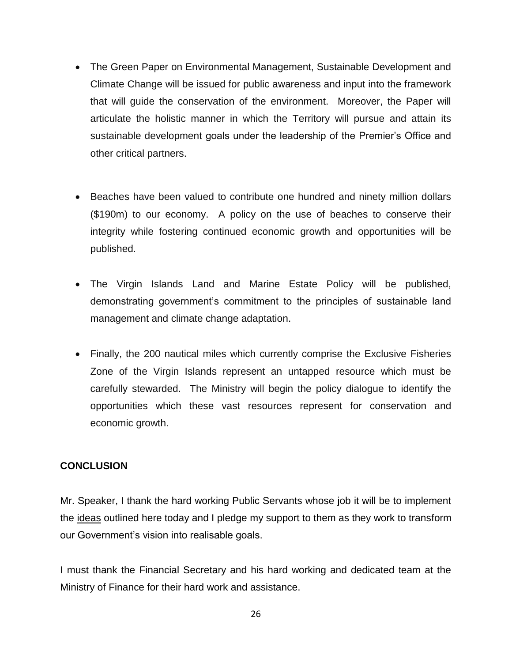- The Green Paper on Environmental Management, Sustainable Development and Climate Change will be issued for public awareness and input into the framework that will guide the conservation of the environment. Moreover, the Paper will articulate the holistic manner in which the Territory will pursue and attain its sustainable development goals under the leadership of the Premier's Office and other critical partners.
- Beaches have been valued to contribute one hundred and ninety million dollars (\$190m) to our economy. A policy on the use of beaches to conserve their integrity while fostering continued economic growth and opportunities will be published.
- The Virgin Islands Land and Marine Estate Policy will be published, demonstrating government's commitment to the principles of sustainable land management and climate change adaptation.
- Finally, the 200 nautical miles which currently comprise the Exclusive Fisheries Zone of the Virgin Islands represent an untapped resource which must be carefully stewarded. The Ministry will begin the policy dialogue to identify the opportunities which these vast resources represent for conservation and economic growth.

## **CONCLUSION**

Mr. Speaker, I thank the hard working Public Servants whose job it will be to implement the ideas outlined here today and I pledge my support to them as they work to transform our Government's vision into realisable goals.

I must thank the Financial Secretary and his hard working and dedicated team at the Ministry of Finance for their hard work and assistance.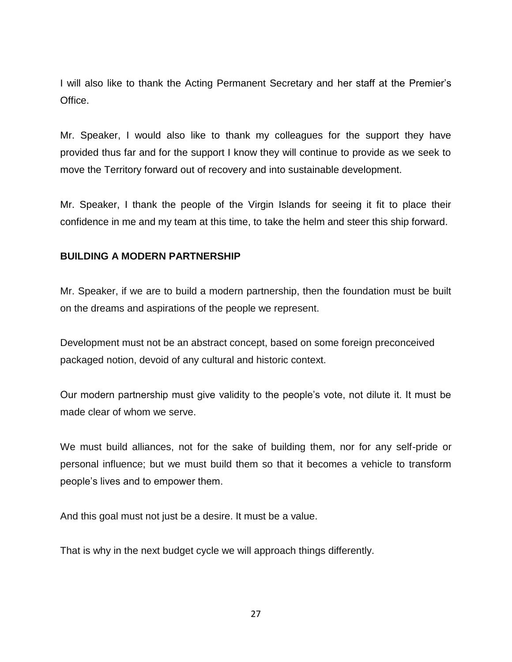I will also like to thank the Acting Permanent Secretary and her staff at the Premier's Office.

Mr. Speaker, I would also like to thank my colleagues for the support they have provided thus far and for the support I know they will continue to provide as we seek to move the Territory forward out of recovery and into sustainable development.

Mr. Speaker, I thank the people of the Virgin Islands for seeing it fit to place their confidence in me and my team at this time, to take the helm and steer this ship forward.

## **BUILDING A MODERN PARTNERSHIP**

Mr. Speaker, if we are to build a modern partnership, then the foundation must be built on the dreams and aspirations of the people we represent.

Development must not be an abstract concept, based on some foreign preconceived packaged notion, devoid of any cultural and historic context.

Our modern partnership must give validity to the people's vote, not dilute it. It must be made clear of whom we serve.

We must build alliances, not for the sake of building them, nor for any self-pride or personal influence; but we must build them so that it becomes a vehicle to transform people's lives and to empower them.

And this goal must not just be a desire. It must be a value.

That is why in the next budget cycle we will approach things differently.